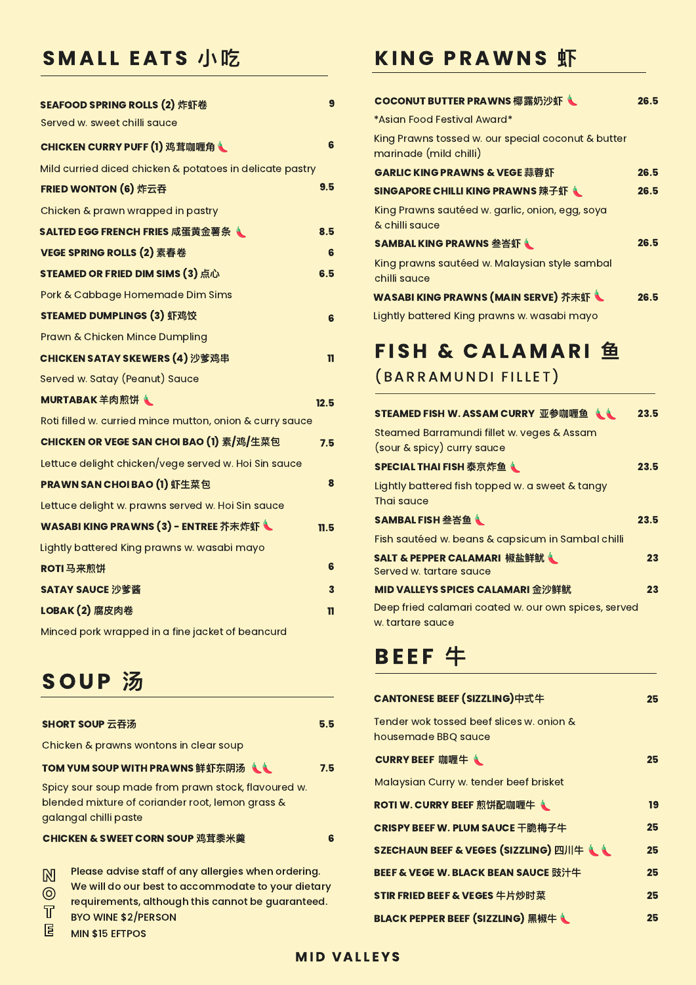## SMALL EATS 小吃

| SEAFOOD SPRING ROLLS (2) 炸虾卷                             |      |
|----------------------------------------------------------|------|
| Served w. sweet chilli sauce                             |      |
| CHICKEN CURRY PUFF (1) 鸡茸咖喱角も                            | 6    |
| Mild curried diced chicken & potatoes in delicate pastry |      |
| FRIED WONTON (6) 炸云吞                                     | 9.5  |
| Chicken & prawn wrapped in pastry                        |      |
| SALTED EGG FRENCH FRIES 咸蛋黄金薯条                           | 8.5  |
| VEGE SPRING ROLLS (2) 素春卷                                | 6    |
| STEAMED OR FRIED DIM SIMS (3) 点心                         | 6.5  |
| Pork & Cabbage Homemade Dim Sims                         |      |
| STEAMED DUMPLINGS (3) 虾鸡饺                                | 6    |
| <b>Prawn &amp; Chicken Mince Dumpling</b>                |      |
| <b>CHICKEN SATAY SKEWERS (4) 沙爹鸡串</b>                    | ш    |
| Served w. Satay (Peanut) Sauce                           |      |
| MURTABAK 羊肉煎饼                                            | 12.5 |
| Roti filled w. curried mince mutton, onion & curry sauce |      |
| CHICKEN OR VEGE SAN CHOI BAO (1) 素/鸡/生菜包                 | 7.5  |
| Lettuce delight chicken/vege served w. Hoi Sin sauce     |      |
| <b>PRAWN SAN CHOI BAO (1) 虾生菜包</b>                       | 8    |
| Lettuce delight w. prawns served w. Hoi Sin sauce        |      |
| WASABI KING PRAWNS (3) - ENTREE 芥末炸虾 L                   | 11.5 |
| Lightly battered King prawns w. wasabi mayo              |      |
| ROTI 马来煎饼                                                | 6    |
| SATAY SAUCE 沙爹酱                                          | 3    |

## KING PRAWNS 虾

## COCONUT BUTTER PRAWNS 椰露奶沙虾 1 26.5 \*Asian Food Festival Award\* King Prawns tossed w. our special coconut & butter marinade (mild chilli) GARLIC KING PRAWNS & VEGE 蒜蓉虾 26.5 SINGAPORE CHILLI KING PRAWNS 辣子虾 1 26.5 King Prawns sautéed w. garlic, onion, egg, soya & chilli sauce SAMBAL KING PRAWNS 叁峇虾 LEARCHER 26.5 King prawns sautéed w. Malaysian style sambal chilli sauce

| WASABI KING PRAWNS (MAIN SERVE) 芥末虾 |  |  | 26.5 |
|-------------------------------------|--|--|------|
|-------------------------------------|--|--|------|

Chicken & prawns wontons in clear soup

#### TOM YUM SOUP WITH PRAWNS 鲜虾东阴汤((1) 7.5

Spicy sour soup made from prawn stock, flavoured w. blended mixture of coriander root, lemon grass & galangal chilli paste

## STEAMED FISH W. ASSAM CURRY 亚参咖喱鱼 1.1 23.5 Steamed Barramundi fillet w. veges & Assam (sour & spicy) curry sauce

## SPECIAL THAI FISH 泰京炸鱼(Web 23.5)

#### CHICKEN & SWEET CORN SOUP 鸡茸⿉⽶羹 6

## LOBAK (2) 腐⽪⾁卷 11

Minced pork wrapped in a fine jacket of beancurd

# SOUP 汤

| SHORT SOUP 云吞汤 | 5.5 |
|----------------|-----|
|                |     |

Please advise staff of any allergies when ordering. We will do our best to accommodate to your dietary Lightly battered King prawns w. wasabi mayo

# FISH & CALAMARI 鱼 (BARRAMUNDI FILLET)

Lightly battered fish topped w. a sweet & tangy Thai sauce

## SAMBAL FISH 叁峇鱼 New York 23.5

Fish sautéed w. beans & capsicum in Sambal chilli



Deep fried calamari coated w. our own spices, served w. tartare sauce

# BEEF &

| CANTONESE BEEF (SIZZLING)中式牛                                    | 25 |
|-----------------------------------------------------------------|----|
| Tender wok tossed beef slices w. onion &<br>housemade BBQ sauce |    |
| CURRY BEEF 咖喱牛(                                                 | 25 |
| Malaysian Curry w. tender beef brisket                          |    |
| ROTI W. CURRY BEEF 煎饼配咖喱牛                                       | 19 |
| <b>CRISPY BEEF W. PLUM SAUCE 干脆梅子牛</b>                          | 25 |
| SZECHAUN BEEF & VEGES (SIZZLING) 四川牛(1)                         | 25 |
| BEEF & VEGE W. BLACK BEAN SAUCE 豉汁牛                             | 25 |
| STIR FRIED BEEF & VEGES 牛片炒时菜                                   | 25 |

SALT & PEPPER CALAMARI 椒盐鲜鱿 23 Served w. tartare sauce

MID VALLEYS SPICES CALAMARI 金沙鲜鱿 23



MIN \$15 EFTPOS

BLACK PEPPER BEEF (SIZZLING) 黑椒牛 (25

N